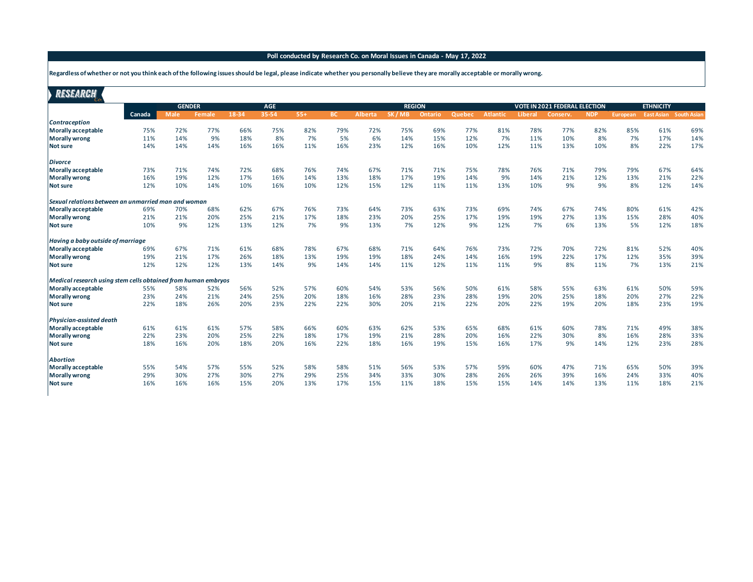## **Poll conducted by Research Co. on Moral Issues in Canada - May 17, 2022**

**Regardless of whether or not you think each of the following issues should be legal, please indicate whether you personally believe they are morally acceptable or morally wrong.**

| RESEARCH                                                      |        |               |        |       |            |       |           |                |               |         |        |          |         |                                      |            |          |                               |     |
|---------------------------------------------------------------|--------|---------------|--------|-------|------------|-------|-----------|----------------|---------------|---------|--------|----------|---------|--------------------------------------|------------|----------|-------------------------------|-----|
|                                                               |        | <b>GENDER</b> |        |       | <b>AGE</b> |       |           |                | <b>REGION</b> |         |        |          |         | <b>VOTE IN 2021 FEDERAL ELECTION</b> |            |          | <b>ETHNICITY</b>              |     |
| <b>Contraception</b>                                          | Canada | <b>Male</b>   | Female | 18-34 | 35-54      | $55+$ | <b>BC</b> | <b>Alberta</b> | SK/MB         | Ontario | Quebec | Atlantic | Liberal | Conserv.                             | <b>NDP</b> | European | <b>East Asian</b> South Asian |     |
| <b>Morally acceptable</b>                                     | 75%    | 72%           | 77%    | 66%   | 75%        | 82%   | 79%       | 72%            | 75%           | 69%     | 77%    | 81%      | 78%     | 77%                                  | 82%        | 85%      | 61%                           | 69% |
| <b>Morally wrong</b>                                          | 11%    | 14%           | 9%     | 18%   | 8%         | 7%    | 5%        | 6%             | 14%           | 15%     | 12%    | 7%       | 11%     | 10%                                  | 8%         | 7%       | 17%                           | 14% |
| Not sure                                                      | 14%    | 14%           | 14%    | 16%   | 16%        | 11%   | 16%       | 23%            | 12%           | 16%     | 10%    | 12%      | 11%     | 13%                                  | 10%        | 8%       | 22%                           | 17% |
| <b>Divorce</b>                                                |        |               |        |       |            |       |           |                |               |         |        |          |         |                                      |            |          |                               |     |
| <b>Morally acceptable</b>                                     | 73%    | 71%           | 74%    | 72%   | 68%        | 76%   | 74%       | 67%            | 71%           | 71%     | 75%    | 78%      | 76%     | 71%                                  | 79%        | 79%      | 67%                           | 64% |
| <b>Morally wrong</b>                                          | 16%    | 19%           | 12%    | 17%   | 16%        | 14%   | 13%       | 18%            | 17%           | 19%     | 14%    | 9%       | 14%     | 21%                                  | 12%        | 13%      | 21%                           | 22% |
| <b>Not sure</b>                                               | 12%    | 10%           | 14%    | 10%   | 16%        | 10%   | 12%       | 15%            | 12%           | 11%     | 11%    | 13%      | 10%     | 9%                                   | 9%         | 8%       | 12%                           | 14% |
| Sexual relations between an unmarried man and woman           |        |               |        |       |            |       |           |                |               |         |        |          |         |                                      |            |          |                               |     |
| Morally acceptable                                            | 69%    | 70%           | 68%    | 62%   | 67%        | 76%   | 73%       | 64%            | 73%           | 63%     | 73%    | 69%      | 74%     | 67%                                  | 74%        | 80%      | 61%                           | 42% |
| <b>Morally wrong</b>                                          | 21%    | 21%           | 20%    | 25%   | 21%        | 17%   | 18%       | 23%            | 20%           | 25%     | 17%    | 19%      | 19%     | 27%                                  | 13%        | 15%      | 28%                           | 40% |
| <b>Not sure</b>                                               | 10%    | 9%            | 12%    | 13%   | 12%        | 7%    | 9%        | 13%            | 7%            | 12%     | 9%     | 12%      | 7%      | 6%                                   | 13%        | 5%       | 12%                           | 18% |
| Having a baby outside of marriage                             |        |               |        |       |            |       |           |                |               |         |        |          |         |                                      |            |          |                               |     |
| Morally acceptable                                            | 69%    | 67%           | 71%    | 61%   | 68%        | 78%   | 67%       | 68%            | 71%           | 64%     | 76%    | 73%      | 72%     | 70%                                  | 72%        | 81%      | 52%                           | 40% |
| <b>Morally wrong</b>                                          | 19%    | 21%           | 17%    | 26%   | 18%        | 13%   | 19%       | 19%            | 18%           | 24%     | 14%    | 16%      | 19%     | 22%                                  | 17%        | 12%      | 35%                           | 39% |
| <b>Not sure</b>                                               | 12%    | 12%           | 12%    | 13%   | 14%        | 9%    | 14%       | 14%            | 11%           | 12%     | 11%    | 11%      | 9%      | 8%                                   | 11%        | 7%       | 13%                           | 21% |
| Medical research using stem cells obtained from human embryos |        |               |        |       |            |       |           |                |               |         |        |          |         |                                      |            |          |                               |     |
| Morally acceptable                                            | 55%    | 58%           | 52%    | 56%   | 52%        | 57%   | 60%       | 54%            | 53%           | 56%     | 50%    | 61%      | 58%     | 55%                                  | 63%        | 61%      | 50%                           | 59% |
| <b>Morally wrong</b>                                          | 23%    | 24%           | 21%    | 24%   | 25%        | 20%   | 18%       | 16%            | 28%           | 23%     | 28%    | 19%      | 20%     | 25%                                  | 18%        | 20%      | 27%                           | 22% |
| Not sure                                                      | 22%    | 18%           | 26%    | 20%   | 23%        | 22%   | 22%       | 30%            | 20%           | 21%     | 22%    | 20%      | 22%     | 19%                                  | 20%        | 18%      | 23%                           | 19% |
| Physician-assisted death                                      |        |               |        |       |            |       |           |                |               |         |        |          |         |                                      |            |          |                               |     |
| Morally acceptable                                            | 61%    | 61%           | 61%    | 57%   | 58%        | 66%   | 60%       | 63%            | 62%           | 53%     | 65%    | 68%      | 61%     | 60%                                  | 78%        | 71%      | 49%                           | 38% |
| <b>Morally wrong</b>                                          | 22%    | 23%           | 20%    | 25%   | 22%        | 18%   | 17%       | 19%            | 21%           | 28%     | 20%    | 16%      | 22%     | 30%                                  | 8%         | 16%      | 28%                           | 33% |
| Not sure                                                      | 18%    | 16%           | 20%    | 18%   | 20%        | 16%   | 22%       | 18%            | 16%           | 19%     | 15%    | 16%      | 17%     | 9%                                   | 14%        | 12%      | 23%                           | 28% |
| <b>Abortion</b>                                               |        |               |        |       |            |       |           |                |               |         |        |          |         |                                      |            |          |                               |     |
| Morally acceptable                                            | 55%    | 54%           | 57%    | 55%   | 52%        | 58%   | 58%       | 51%            | 56%           | 53%     | 57%    | 59%      | 60%     | 47%                                  | 71%        | 65%      | 50%                           | 39% |
| <b>Morally wrong</b>                                          | 29%    | 30%           | 27%    | 30%   | 27%        | 29%   | 25%       | 34%            | 33%           | 30%     | 28%    | 26%      | 26%     | 39%                                  | 16%        | 24%      | 33%                           | 40% |
| <b>Not sure</b>                                               | 16%    | 16%           | 16%    | 15%   | 20%        | 13%   | 17%       | 15%            | 11%           | 18%     | 15%    | 15%      | 14%     | 14%                                  | 13%        | 11%      | 18%                           | 21% |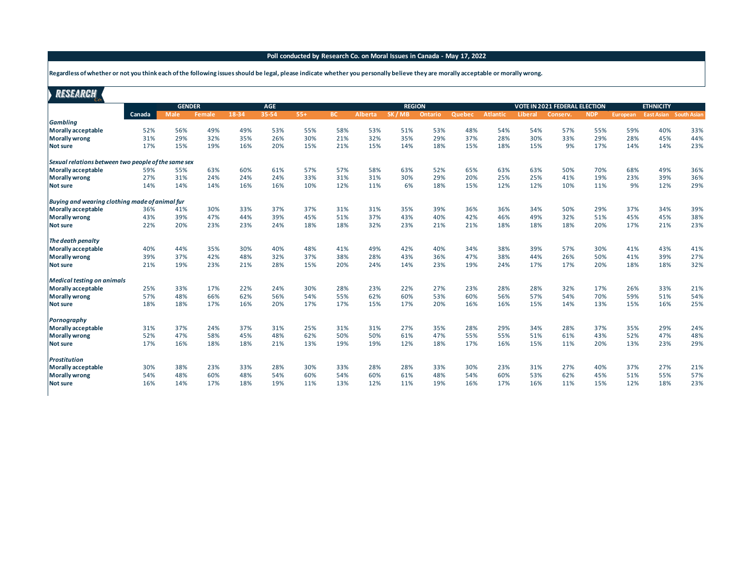## **Poll conducted by Research Co. on Moral Issues in Canada - May 17, 2022**

**Regardless of whether or not you think each of the following issues should be legal, please indicate whether you personally believe they are morally acceptable or morally wrong.**

| RESEARCH                                            |            |               |            |            |            |            |           |                |               |            |            |                 |            |                                      |            |            |                               |     |
|-----------------------------------------------------|------------|---------------|------------|------------|------------|------------|-----------|----------------|---------------|------------|------------|-----------------|------------|--------------------------------------|------------|------------|-------------------------------|-----|
|                                                     |            | <b>GENDER</b> |            |            | <b>AGE</b> |            |           |                | <b>REGION</b> |            |            |                 |            | <b>VOTE IN 2021 FEDERAL ELECTION</b> |            |            | <b>ETHNICITY</b>              |     |
|                                                     | Canada     | <b>Male</b>   | Female     | 18-34      | 35-54      | $55+$      | <b>BC</b> | <b>Alberta</b> | SK/MB         | Ontario    | Quebec     | <b>Atlantic</b> | Liberal    | Conserv.                             | <b>NDP</b> | European   | <b>East Asian</b> South Asian |     |
| <b>Gambling</b>                                     |            | 56%           |            |            |            |            | 58%       |                |               |            |            | 54%             |            |                                      |            |            |                               | 33% |
| Morally acceptable                                  | 52%<br>31% | 29%           | 49%<br>32% | 49%<br>35% | 53%<br>26% | 55%<br>30% | 21%       | 53%<br>32%     | 51%<br>35%    | 53%<br>29% | 48%<br>37% | 28%             | 54%<br>30% | 57%<br>33%                           | 55%<br>29% | 59%<br>28% | 40%<br>45%                    | 44% |
| <b>Morally wrong</b>                                | 17%        | 15%           | 19%        | 16%        | 20%        | 15%        | 21%       | 15%            | 14%           | 18%        | 15%        | 18%             | 15%        | 9%                                   | 17%        | 14%        | 14%                           | 23% |
| <b>Not sure</b>                                     |            |               |            |            |            |            |           |                |               |            |            |                 |            |                                      |            |            |                               |     |
| Sexual relations between two people of the same sex |            |               |            |            |            |            |           |                |               |            |            |                 |            |                                      |            |            |                               |     |
| Morally acceptable                                  | 59%        | 55%           | 63%        | 60%        | 61%        | 57%        | 57%       | 58%            | 63%           | 52%        | 65%        | 63%             | 63%        | 50%                                  | 70%        | 68%        | 49%                           | 36% |
| <b>Morally wrong</b>                                | 27%        | 31%           | 24%        | 24%        | 24%        | 33%        | 31%       | 31%            | 30%           | 29%        | 20%        | 25%             | 25%        | 41%                                  | 19%        | 23%        | 39%                           | 36% |
| Not sure                                            | 14%        | 14%           | 14%        | 16%        | 16%        | 10%        | 12%       | 11%            | 6%            | 18%        | 15%        | 12%             | 12%        | 10%                                  | 11%        | 9%         | 12%                           | 29% |
| Buying and wearing clothing made of animal fur      |            |               |            |            |            |            |           |                |               |            |            |                 |            |                                      |            |            |                               |     |
| Morally acceptable                                  | 36%        | 41%           | 30%        | 33%        | 37%        | 37%        | 31%       | 31%            | 35%           | 39%        | 36%        | 36%             | 34%        | 50%                                  | 29%        | 37%        | 34%                           | 39% |
| <b>Morally wrong</b>                                | 43%        | 39%           | 47%        | 44%        | 39%        | 45%        | 51%       | 37%            | 43%           | 40%        | 42%        | 46%             | 49%        | 32%                                  | 51%        | 45%        | 45%                           | 38% |
| <b>Not sure</b>                                     | 22%        | 20%           | 23%        | 23%        | 24%        | 18%        | 18%       | 32%            | 23%           | 21%        | 21%        | 18%             | 18%        | 18%                                  | 20%        | 17%        | 21%                           | 23% |
| The death penalty                                   |            |               |            |            |            |            |           |                |               |            |            |                 |            |                                      |            |            |                               |     |
| Morally acceptable                                  | 40%        | 44%           | 35%        | 30%        | 40%        | 48%        | 41%       | 49%            | 42%           | 40%        | 34%        | 38%             | 39%        | 57%                                  | 30%        | 41%        | 43%                           | 41% |
| <b>Morally wrong</b>                                | 39%        | 37%           | 42%        | 48%        | 32%        | 37%        | 38%       | 28%            | 43%           | 36%        | 47%        | 38%             | 44%        | 26%                                  | 50%        | 41%        | 39%                           | 27% |
| <b>Not sure</b>                                     | 21%        | 19%           | 23%        | 21%        | 28%        | 15%        | 20%       | 24%            | 14%           | 23%        | 19%        | 24%             | 17%        | 17%                                  | 20%        | 18%        | 18%                           | 32% |
| <b>Medical testing on animals</b>                   |            |               |            |            |            |            |           |                |               |            |            |                 |            |                                      |            |            |                               |     |
| Morally acceptable                                  | 25%        | 33%           | 17%        | 22%        | 24%        | 30%        | 28%       | 23%            | 22%           | 27%        | 23%        | 28%             | 28%        | 32%                                  | 17%        | 26%        | 33%                           | 21% |
| <b>Morally wrong</b>                                | 57%        | 48%           | 66%        | 62%        | 56%        | 54%        | 55%       | 62%            | 60%           | 53%        | 60%        | 56%             | 57%        | 54%                                  | 70%        | 59%        | 51%                           | 54% |
| Not sure                                            | 18%        | 18%           | 17%        | 16%        | 20%        | 17%        | 17%       | 15%            | 17%           | 20%        | 16%        | 16%             | 15%        | 14%                                  | 13%        | 15%        | 16%                           | 25% |
| Pornography                                         |            |               |            |            |            |            |           |                |               |            |            |                 |            |                                      |            |            |                               |     |
| Morally acceptable                                  | 31%        | 37%           | 24%        | 37%        | 31%        | 25%        | 31%       | 31%            | 27%           | 35%        | 28%        | 29%             | 34%        | 28%                                  | 37%        | 35%        | 29%                           | 24% |
| <b>Morally wrong</b>                                | 52%        | 47%           | 58%        | 45%        | 48%        | 62%        | 50%       | 50%            | 61%           | 47%        | 55%        | 55%             | 51%        | 61%                                  | 43%        | 52%        | 47%                           | 48% |
| <b>Not sure</b>                                     | 17%        | 16%           | 18%        | 18%        | 21%        | 13%        | 19%       | 19%            | 12%           | 18%        | 17%        | 16%             | 15%        | 11%                                  | 20%        | 13%        | 23%                           | 29% |
| <b>Prostitution</b>                                 |            |               |            |            |            |            |           |                |               |            |            |                 |            |                                      |            |            |                               |     |
| Morally acceptable                                  | 30%        | 38%           | 23%        | 33%        | 28%        | 30%        | 33%       | 28%            | 28%           | 33%        | 30%        | 23%             | 31%        | 27%                                  | 40%        | 37%        | 27%                           | 21% |
| <b>Morally wrong</b>                                | 54%        | 48%           | 60%        | 48%        | 54%        | 60%        | 54%       | 60%            | 61%           | 48%        | 54%        | 60%             | 53%        | 62%                                  | 45%        | 51%        | 55%                           | 57% |
| <b>Not sure</b>                                     | 16%        | 14%           | 17%        | 18%        | 19%        | 11%        | 13%       | 12%            | 11%           | 19%        | 16%        | 17%             | 16%        | 11%                                  | 15%        | 12%        | 18%                           | 23% |
|                                                     |            |               |            |            |            |            |           |                |               |            |            |                 |            |                                      |            |            |                               |     |